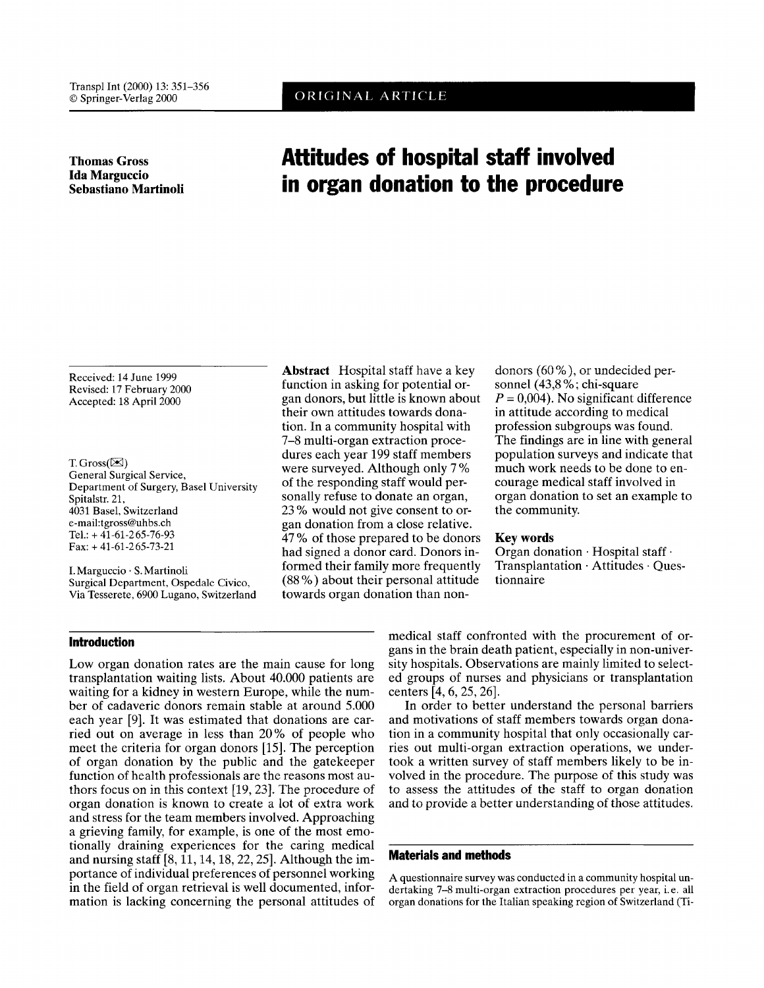## ORIGINAL ARTICLE

**Thomas Gross Ida Marguccio Sebastiano Martinoli** 

# **Attitudes of hospital staff involved in organ donation to the procedure**

Received: **14** June 1999 Revised: 17 February 2000 Accepted: 18 April 2000

T. Gross( $\boxtimes$ ) General Surgical Service, Department of Surgery, Basel University Spitalstr. 21, 4031 Basel, Switzerland e-mail:tgross@uhbs.ch Tel.: + 41-61-265-76-93 Fax: + 41-61-265-73-21

I. Marguccio . **S.** Martinoli Surgical Department, Ospedale Civico, Via Tesserete, 6900 Lugano, Switzerland

**Abstract** Hospital staff have a key function in asking for potential organ donors, but little is known about their own attitudes towards donation. In a community hospital with 7-8 multi-organ extraction procedures each year 199 staff members were surveyed. Although only 7% of the responding staff would personally refuse to donate an organ, 23 *Yo* would not give consent to organ donation from a close relative. 47 % of those prepared to be donors had signed a donor card. Donors informed their family more frequently (88 %) about their personal attitude towards organ donation than non-

donors (60%), or undecided personnel (43,8 %; chi-square  $P = 0,004$ ). No significant difference in attitude according to medical profession subgroups was found. The findings are in line with general population surveys and indicate that much work needs to be done to encourage medical staff involved in organ donation to set an example to the community.

#### **Key words**

Organ donation  $\cdot$  Hospital staff  $\cdot$ Transplantation . Attitudes . Questionnaire

#### **Introduction**

Low organ donation rates are the main cause for long transplantation waiting lists. About 40.000 patients are waiting for a kidney in western Europe, while the number of cadaveric donors remain stable at around 5.000 each year [9]. It was estimated that donations are carried out on average in less than 20% of people who meet the criteria for organ donors [15]. The perception of organ donation by the public and the gatekeeper function of health professionals are the reasons most authors focus on in this context [19,23]. The procedure of organ donation is known to create a lot of extra work and stress for the team members involved. Approaching a grieving family, for example, is one of the most emotionally draining experiences for the caring medical and nursing staff  $[8, 11, 14, 18, 22, 25]$ . Although the importance of individual preferences of personnel working in the field of organ retrieval is well documented, information is lacking concerning the personal attitudes of

medical staff confronted with the procurement of organs in the brain death patient, especially in non-university hospitals. Observations are mainly limited to selected groups of nurses and physicians or transplantation centers [4,6,25,26].

In order to better understand the personal barriers and motivations of staff members towards organ donation in a community hospital that only occasionally carries out multi-organ extraction operations, we undertook a written survey of staff members likely to be involved in the procedure. The purpose of this study was to assess the attitudes of the staff to organ donation and to provide a better understanding of those attitudes.

#### **Materials and methods**

A questionnaire survey was conducted in a community hospital undertaking 7-8 multi-organ extraction procedures per year, i. e. all organ donations for the Italian speaking region of Switzerland (Ti-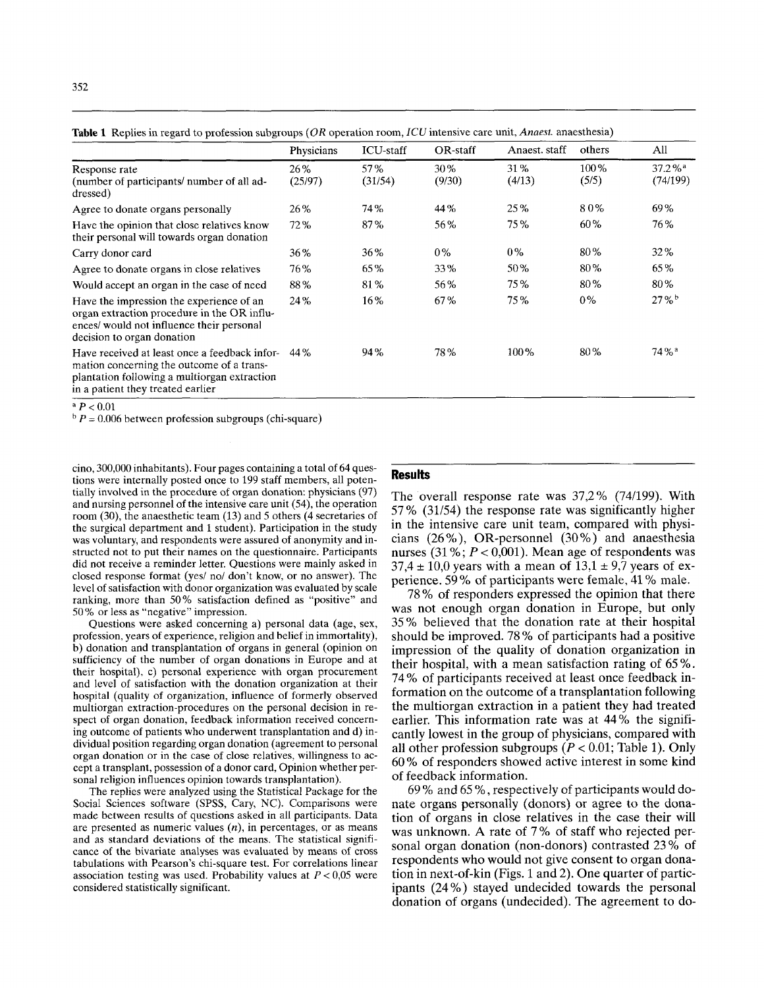|                                                                                                                                                                                 | Physicians | ICU-staff | OR-staff | Anaest. staff | others        | All                               |
|---------------------------------------------------------------------------------------------------------------------------------------------------------------------------------|------------|-----------|----------|---------------|---------------|-----------------------------------|
|                                                                                                                                                                                 |            |           |          |               |               |                                   |
| Response rate                                                                                                                                                                   | 26%        | 57%       | 30%      | 31%<br>(4/13) | 100%<br>(5/5) | $37.2\%$ <sup>a</sup><br>(74/199) |
| (number of participants/number of all ad-<br>dressed)                                                                                                                           | (25/97)    | (31/54)   | (9/30)   |               |               |                                   |
| Agree to donate organs personally                                                                                                                                               | 26 %       | 74%       | 44 %     | 25%           | 80%           | 69%                               |
| Have the opinion that close relatives know<br>their personal will towards organ donation                                                                                        | 72%        | 87%       | 56%      | 75%           | 60%           | 76%                               |
| Carry donor card                                                                                                                                                                | 36%        | 36%       | 0%       | 0%            | 80%           | 32%                               |
| Agree to donate organs in close relatives                                                                                                                                       | 76%        | 65%       | 33 %     | 50%           | 80%           | 65%                               |
| Would accept an organ in the case of need                                                                                                                                       | 88%        | 81%       | 56%      | 75%           | 80%           | 80%                               |
| Have the impression the experience of an<br>organ extraction procedure in the OR influ-<br>ences/ would not influence their personal<br>decision to organ donation              | 24%        | 16%       | 67%      | 75%           | $0\%$         | $27 \%$ <sup>b</sup>              |
| Have received at least once a feedback infor-<br>mation concerning the outcome of a trans-<br>plantation following a multiorgan extraction<br>in a patient they treated earlier | 44%        | 94%       | 78%      | 100%          | 80%           | $74\%$ <sup>a</sup>               |

**Table 1** Replies in regard to profession subgroups *(OR* operation room, **ZCU** intensive care unit, *Anaest.* anaesthesia)

 $^{a}P < 0.01$ 

 $P = 0.006$  between profession subgroups (chi-square)

cino, 300,000 inhabitants). Four pages containing a total of 64 questions were internally posted once to 199 staff members, all potentially involved in the procedure of organ donation: physicians (97) and nursing personnel of the intensive care unit (54), the operation room (30), the anaesthetic team (13) and *5* others (4 secretaries of the surgical department and 1 student). Participation in the study was voluntary, and respondents were assured of anonymity and instructed not to put their names on the questionnaire. Participants did not receive a reminder letter. Questions were mainly asked in closed response format (yes/ no/ don't know, or no answer). The level of satisfaction with donor organization was evaluated by scale ranking, more than 50% satisfaction defined as "positive" and 50 % or less as "negative" impression.

Questions were asked concerning a) personal data (age, sex, profession, years of experience, religion and belief in immortality), b) donation and transplantation of organs in general (opinion on sufficiency of the number of organ donations in Europe and at their hospital), c) personal experience with organ procurement and level of satisfaction with the donation organization at their hospital (quality of organization, influence of formerly observed multiorgan extraction-procedures on the personal decision in respect of organ donation, feedback information received concerning outcome of patients who underwent transplantation and d) individual position regarding organ donation (agreement to personal organ donation or in the case of close relatives, willingness to accept a transplant, possession of a donor card, Opinion whether personal religion influences opinion towards transplantation).

The replies were analyzed using the Statistical Package for the Social Sciences software (SPSS, Cary, NC). Comparisons were made between results of questions asked in all participants. Data are presented as numeric values *(n),* in percentages, or as means and as standard deviations of the means. The statistical significance of the bivariate analyses was evaluated by means of cross tabulations with Pearson's chi-square test. For correlations linear association testing was used. Probability values at *P* < *0,05* were considered statistically significant.

#### **Results**

The overall response rate was 37,2% (74/199). With 57 % (31/54) the response rate was significantly higher in the intensive care unit team, compared with physicians (26 %), OR-personnel (30%) and anaesthesia nurses  $(31\%; P < 0.001)$ . Mean age of respondents was  $37.4 \pm 10.0$  years with a mean of  $13.1 \pm 9.7$  years of experience. 59 '% of participants were female, 41 % male.

78 % of responders expressed the opinion that there was not enough organ donation in Europe, but only 35% believed that the donation rate at their hospital should be improved. 78 % of participants had a positive impression of the quality of donation organization in their hospital, with a mean satisfaction rating of 65 % . 74 % of participants received at least once feedback information on the outcome of a transplantation following the multiorgan extraction in a patient they had treated earlier. This information rate was at 44% the significantly lowest in the group of physicians, compared with all other profession subgroups  $(P < 0.01$ ; Table 1). Only 60 % of responders showed active interest in some kind of feedback information.

69 % and 65 %, respectively of participants would donate organs personally (donors) or agree to the donation of organs in close relatives in the case their will was unknown. **A** rate of 7% of staff who rejected personal organ donation (non-donors) contrasted 23 % of respondents who would not give consent to organ donation in next-of-kin (Figs. 1 and 2). One quarter of participants (24 %) stayed undecided towards the personal donation of organs (undecided). The agreement to do-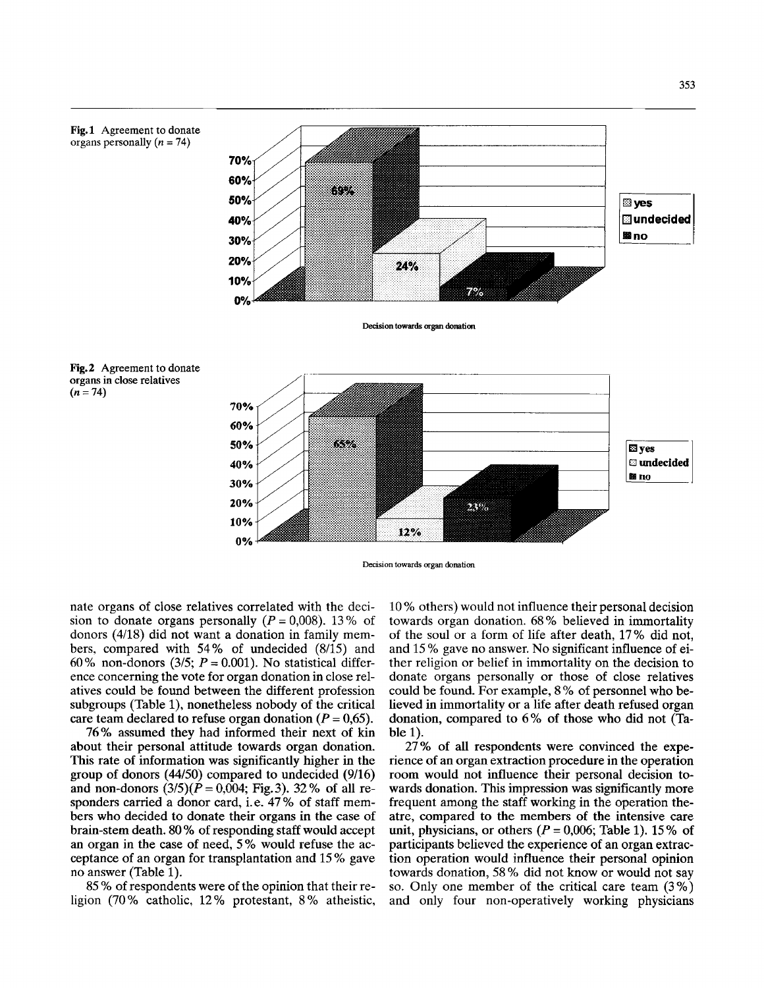

**Decision towards organ donation** 



**Fig.2** Agreement to donate organs in close relatives  $(n = 74)$ 

Fig. 1 Agreement to donate organs personally *(n* = 74)

**Decision towards organ** donation

nate organs of close relatives correlated with the decision to donate organs personally ( $P = 0,008$ ). 13% of donors (4118) did not want a donation in family members, compared with **54%** of undecided (8/15) and 60% non-donors (3/5;  $P = 0.001$ ). No statistical difference concerning the vote for organ donation in close relatives could be found between the different profession subgroups (Table 1), nonetheless nobody of the critical care team declared to refuse organ donation ( $P = 0.65$ ).

76% assumed they had informed their next of kin about their personal attitude towards organ donation. This rate of information was significantly higher in the group of donors **(44/50)** compared to undecided **(9/16)**  and non-donors (3/5)(P = **0,004;** Fig.3). 32 *Yo* of all responders carried a donor card, i. *e.* 47 % of staff members who decided to donate their organs in the case **of**  brain-stem death. 80 % of responding staff would accept an organ in the case of need, 5% would refuse the acceptance of an organ for transplantation and 15% gave no answer (Table 1).

85 % of respondents were of the opinion that their religion (70 % catholic, 12 % protestant, 8 % atheistic,

10 % others) would not influence their personal decision towards organ donation. 68% believed in immortality of the soul or a form of life after death, 17% did not, and 15 *Yo* gave no answer. No significant influence of either religion or belief in immortality on the decision to donate organs personally or those of close relatives could be found. For example, 8% of personnel who believed in immortality or a life after death refused organ donation, compared to 6% of those who did not (Table 1).

27% of all respondents were convinced the experience of an organ extraction procedure in the operation room would not influence their personal decision towards donation. This impression was significantly more frequent among the staff working in the operation theatre, compared to the members of the intensive care unit, physicians, or others ( $P = 0.006$ ; Table 1). 15% of participants believed the experience **of** an organ extraction operation would influence their personal opinion towards donation, 58 *Yo* did not know or would not say *so.* Only one member of the critical care team (3%) and only four non-operatively working physicians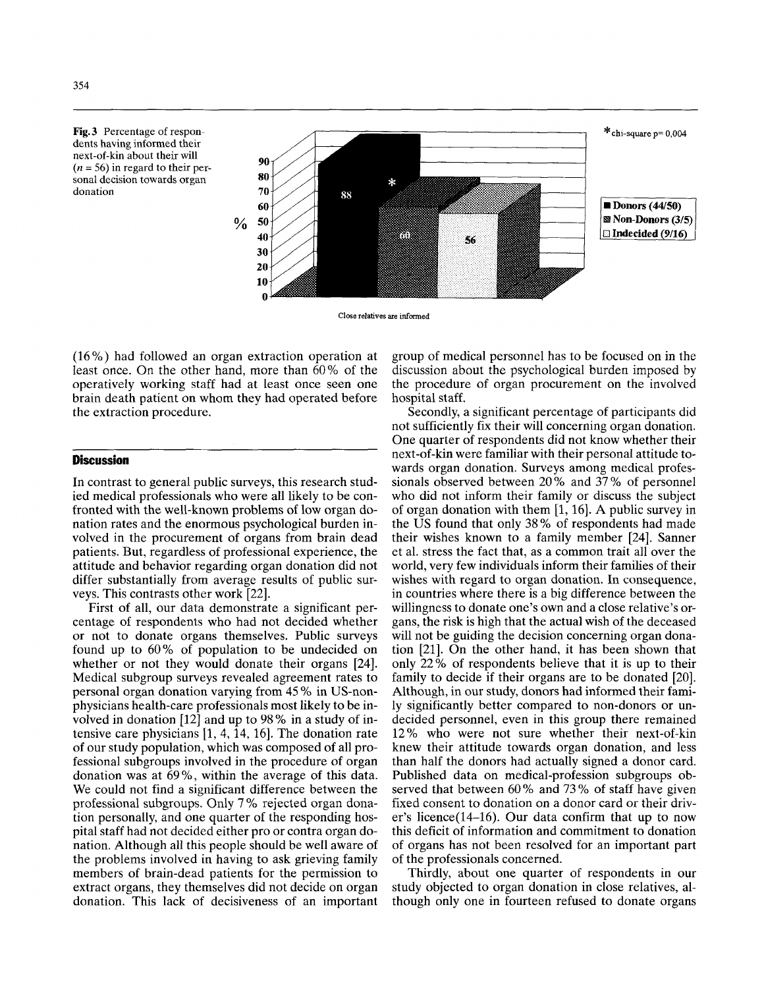



**Close relatives** *are* **informed** 

(16 %) had followed an organ extraction operation at least once. On the other hand, more than 60% of the operatively working staff had at least once seen one brain death patient on whom they had operated before the extraction procedure.

### **Discussion**

In contrast to general public surveys, this research studied medical professionals who were all likely to be confronted with the well-known problems of low organ donation rates and the enormous psychological burden involved in the procurement of organs from brain dead patients. But, regardless of professional experience, the attitude and behavior regarding organ donation did not differ substantially from average results of public surveys. This contrasts other work [22].

First of all, our data demonstrate a significant percentage of respondents who had not decided whether or not to donate organs themselves. Public surveys found up to 60% of population to be undecided on whether or not they would donate their organs [24]. Medical subgroup surveys revealed agreement rates to personal organ donation varying from 45 % in US-nonphysicians health-care professionals most likely to be involved in donation [12] and up to 98% in a study of intensive care physicians [1, 4, 14, 16]. The donation rate of our study population, which was composed of all professional subgroups involved in the procedure of organ donation was at  $69\%$ , within the average of this data. We could not find a significant difference between the professional subgroups. Only 7 *Yo* rejected organ donation personally, and one quarter of the responding hospital staff had not decided either pro or contra organ donation. Although all this people should be well aware of the problems involved in having to ask grieving family members of brain-dead patients for the permission to extract organs, they themselves did not decide on organ donation. This lack of decisiveness of an important

group of medical personnel has to be focused on in the discussion about the psychological burden imposed by the procedure of organ procurement on the involved hospital staff.

Secondly, a significant percentage of participants did not sufficiently fix their will concerning organ donation. One quarter of respondents did not know whether their next-of-kin were familiar with their personal attitude towards organ donation. Surveys among medical professionals observed between 20% and 37% of personnel who did not inform their family or discuss the subject of organ donation with them  $[1, 16]$ . A public survey in the **US** found that only 38% of respondents had made their wishes known to a family member [24]. Sanner et al. stress the fact that, as a common trait all over the world, very few individuals inform their families of their wishes with regard to organ donation. In consequence, in countries where there is a big difference between the willingness to donate one's own and a close relative's organs, the risk is high that the actual wish of the deceased will not be guiding the decision concerning organ donation [21]. On the other hand, it has been shown that only 22% of respondents believe that it **is** up to their family to decide if their organs are to be donated [20]. Although, in our study, donors had informed their family significantly better compared to non-donors or undecided personnel, even in this group there remained 12% who were not sure whether their next-of-kin knew their attitude towards organ donation, and less than half the donors had actually signed a donor card. Published data on medical-profession subgroups observed that between 60% and 73% of staff have given fixed consent to donation on a donor card or their driver's licence(14-16). Our data confirm that up to now this deficit of information and commitment to donation of organs has not been resolved for an important part of the professionals concerned.

Thirdly, about one quarter of respondents in our study objected to organ donation in close relatives, although only one in fourteen refused to donate organs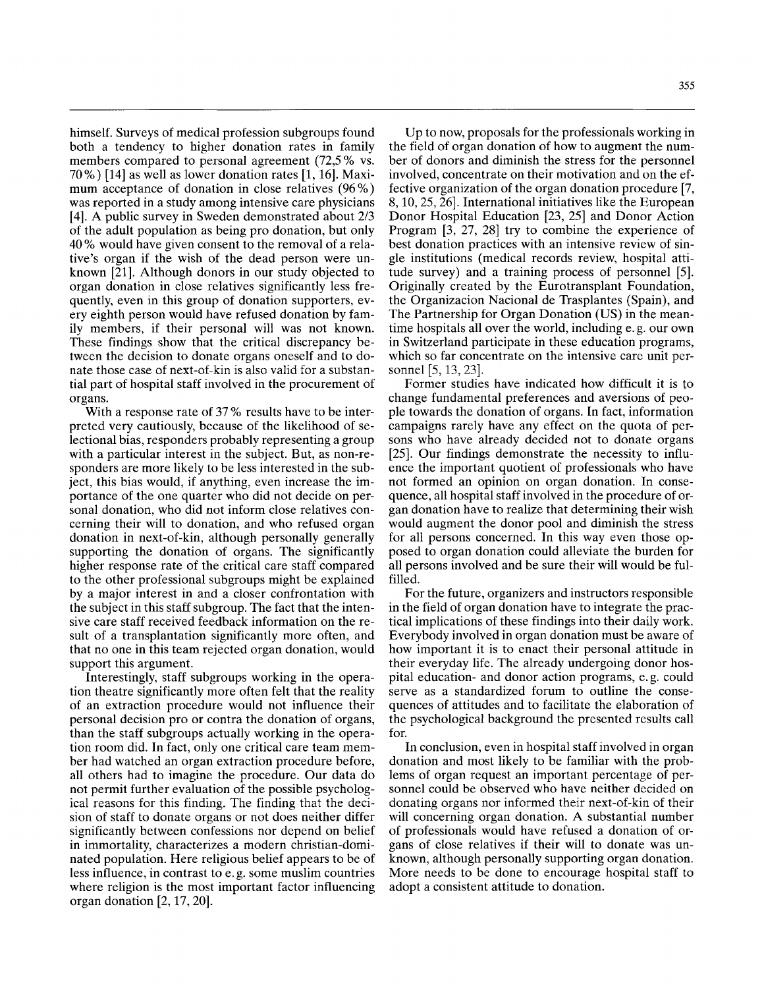himself. Surveys of medical profession subgroups found both a tendency to higher donation rates in family members compared to personal agreement (72,5% vs.  $70\%$ ) [14] as well as lower donation rates [1, 16]. Maximum acceptance of donation in close relatives (96%) was reported in a study among intensive care physicians [4]. A public survey in Sweden demonstrated about 2/3 of the adult population as being pro donation, but only 40 % would have given consent to the removal of a relative's organ if the wish of the dead person were unknown [21]. Although donors in our study objected to organ donation in close relatives significantly less frequently, even in this group of donation supporters, every eighth person would have refused donation by family members, if their personal will was not known. These findings show that the critical discrepancy between the decision to donate organs oneself and to donate those case of next-of-kin is also valid for a substantial part of hospital staff involved in the procurement of organs.

With a response rate of 37 % results have to be interpreted very cautiously, because of the likelihood of selectional bias, responders probably representing a group with a particular interest in the subject. But, as non-responders are more likely to be less interested in the subject, this bias would, if anything, even increase the importance of the one quarter who did not decide on personal donation, who did not inform close relatives concerning their will to donation, and who refused organ donation in next-of-kin, although personally generally supporting the donation of organs. The significantly higher response rate of the critical care staff compared to the other professional subgroups might be explained by a major interest in and a closer confrontation with the subject in this staff subgroup. The fact that the intensive care staff received feedback information on the result of a transplantation significantly more often, and that no one in this team rejected organ donation, would support this argument.

Interestingly, staff subgroups working in the operation theatre significantly more often felt that the reality of an extraction procedure would not influence their personal decision pro or contra the donation of organs, than the staff subgroups actually working in the operation room did. In fact, only one critical care team member had watched an organ extraction procedure before, all others had to imagine the procedure. Our data do not permit further evaluation of the possible psychological reasons for this finding. The finding that the decision of staff to donate organs or not does neither differ significantly between confessions nor depend on belief in immortality, characterizes a modern christian-dominated population. Here religious belief appears to be of less influence, in contrast to e. g. some muslim countries where religion is the most important factor influencing organ donation [2,17,20].

Up to now, proposals for the professionals working in the field of organ donation of how to augment the number of donors and diminish the stress for the personnel involved, concentrate on their motivation and on the effective organization of the organ donation procedure [7, 8, 10, 25, 26]. International initiatives like the European Donor Hospital Education [23, 25] and Donor Action Program  $[3, 27, 28]$  try to combine the experience of best donation practices with an intensive review of single institutions (medical records review, hospital attitude survey) and a training process of personnel [5]. Originally created by the Eurotransplant Foundation, the Organizacion Nacional de Trasplantes (Spain), and The Partnership for Organ Donation **(US)** in the meantime hospitals all over the world, including e. g. our own in Switzerland participate in these education programs, which so far concentrate on the intensive care unit personnel  $[5, 13, 23]$ .

Former studies have indicated how difficult it is to change fundamental preferences and aversions of people towards the donation of organs. In fact, information campaigns rarely have any effect on the quota of persons who have already decided not to donate organs [25]. Our findings demonstrate the necessity to influence the important quotient of professionals who have not formed an opinion on organ donation. In consequence, all hospital staff involved in the procedure of organ donation have to realize that determining their wish would augment the donor pool and diminish the stress for all persons concerned. In this way even those opposed to organ donation could alleviate the burden for all persons involved and be sure their will would be fulfilled.

For the future, organizers and instructors responsible in the field of organ donation have to integrate the practical implications of these findings into their daily work. Everybody involved in organ donation must be aware of how important it is to enact their personal attitude in their everyday life. The already undergoing donor hospital education- and donor action programs, e.g. could serve as a standardized forum to outline the consequences of attitudes and to facilitate the elaboration of the psychological background the presented results call for.

In conclusion, even in hospital staff involved in organ donation and most likely to be familiar with the problems of organ request an important percentage of personnel could be observed who have neither decided on donating organs nor informed their next-of-kin of their will concerning organ donation. A substantial number of professionals would have refused a donation of organs of close relatives if their will to donate was unknown, although personally supporting organ donation. More needs to be done to encourage hospital staff to adopt a consistent attitude to donation.